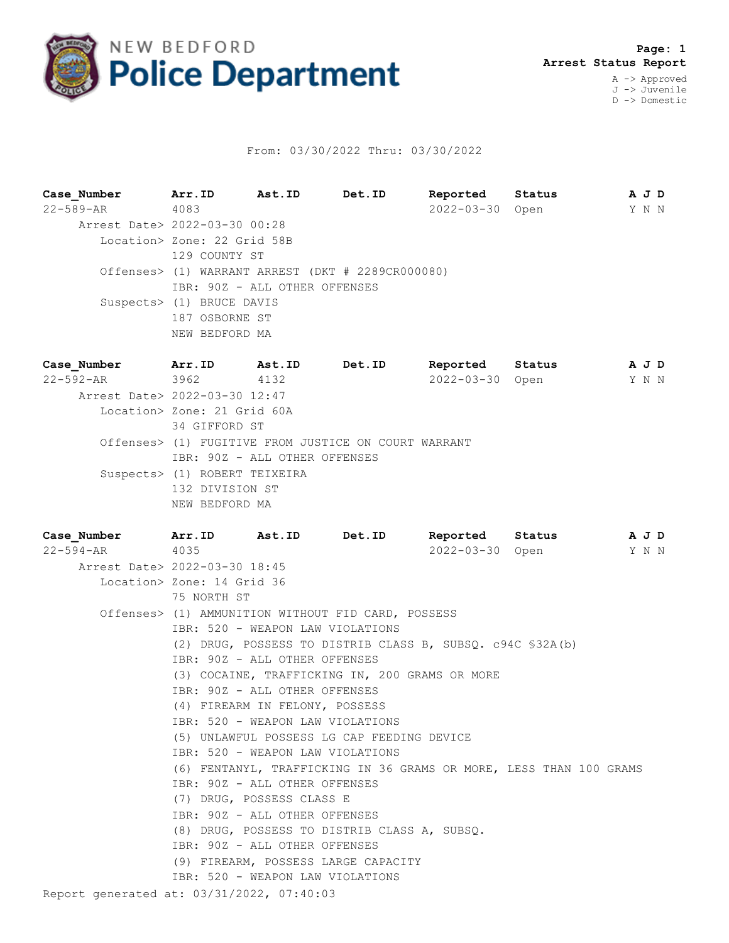

## From: 03/30/2022 Thru: 03/30/2022

**Case\_Number Arr.ID Ast.ID Det.ID Reported Status A J D** 22-589-AR 4083 AST.ID Det.ID Reported Status AJD<br>22-589-AR 4083 AST.ID Det.ID Reported Status AJD<br>2022-03-30 Open Y N N Arrest Date> 2022-03-30 00:28 Location> Zone: 22 Grid 58B 129 COUNTY ST Offenses> (1) WARRANT ARREST (DKT # 2289CR000080) IBR: 90Z - ALL OTHER OFFENSES Suspects> (1) BRUCE DAVIS 187 OSBORNE ST NEW BEDFORD MA

**Case\_Number Arr.ID Ast.ID Det.ID Reported Status A J D** 22-592-AR 3962 4132 2022-03-30 Open Y N N Arrest Date> 2022-03-30 12:47 Location> Zone: 21 Grid 60A 34 GIFFORD ST Offenses> (1) FUGITIVE FROM JUSTICE ON COURT WARRANT IBR: 90Z - ALL OTHER OFFENSES Suspects> (1) ROBERT TEIXEIRA 132 DIVISION ST NEW BEDFORD MA

| Case Number                               |                                                    |                                  | Arr. ID Ast. ID Det. ID                                            | Reported Status |  | A J D |  |
|-------------------------------------------|----------------------------------------------------|----------------------------------|--------------------------------------------------------------------|-----------------|--|-------|--|
| $22 - 594 - AR$                           | 4035                                               |                                  |                                                                    | 2022-03-30 Open |  | Y N N |  |
| Arrest Date> 2022-03-30 18:45             |                                                    |                                  |                                                                    |                 |  |       |  |
|                                           | Location> Zone: 14 Grid 36                         |                                  |                                                                    |                 |  |       |  |
|                                           | 75 NORTH ST                                        |                                  |                                                                    |                 |  |       |  |
|                                           | Offenses> (1) AMMUNITION WITHOUT FID CARD, POSSESS |                                  |                                                                    |                 |  |       |  |
|                                           |                                                    | IBR: 520 - WEAPON LAW VIOLATIONS |                                                                    |                 |  |       |  |
|                                           |                                                    |                                  | (2) DRUG, POSSESS TO DISTRIB CLASS B, SUBSO. c94C \$32A(b)         |                 |  |       |  |
|                                           |                                                    | IBR: 90Z - ALL OTHER OFFENSES    |                                                                    |                 |  |       |  |
|                                           |                                                    |                                  | (3) COCAINE, TRAFFICKING IN, 200 GRAMS OR MORE                     |                 |  |       |  |
|                                           |                                                    | IBR: 90Z - ALL OTHER OFFENSES    |                                                                    |                 |  |       |  |
|                                           |                                                    | (4) FIREARM IN FELONY, POSSESS   |                                                                    |                 |  |       |  |
|                                           |                                                    | IBR: 520 - WEAPON LAW VIOLATIONS |                                                                    |                 |  |       |  |
|                                           | (5) UNLAWFUL POSSESS LG CAP FEEDING DEVICE         |                                  |                                                                    |                 |  |       |  |
|                                           |                                                    | IBR: 520 - WEAPON LAW VIOLATIONS |                                                                    |                 |  |       |  |
|                                           |                                                    |                                  | (6) FENTANYL, TRAFFICKING IN 36 GRAMS OR MORE, LESS THAN 100 GRAMS |                 |  |       |  |
|                                           |                                                    | IBR: 90Z - ALL OTHER OFFENSES    |                                                                    |                 |  |       |  |
|                                           |                                                    | (7) DRUG, POSSESS CLASS E        |                                                                    |                 |  |       |  |
|                                           |                                                    | IBR: 90Z - ALL OTHER OFFENSES    |                                                                    |                 |  |       |  |
|                                           |                                                    |                                  | (8) DRUG, POSSESS TO DISTRIB CLASS A, SUBSQ.                       |                 |  |       |  |
|                                           |                                                    | IBR: 90Z - ALL OTHER OFFENSES    |                                                                    |                 |  |       |  |
|                                           |                                                    |                                  | (9) FIREARM, POSSESS LARGE CAPACITY                                |                 |  |       |  |
|                                           |                                                    | IBR: 520 - WEAPON LAW VIOLATIONS |                                                                    |                 |  |       |  |
| Report generated at: 03/31/2022, 07:40:03 |                                                    |                                  |                                                                    |                 |  |       |  |